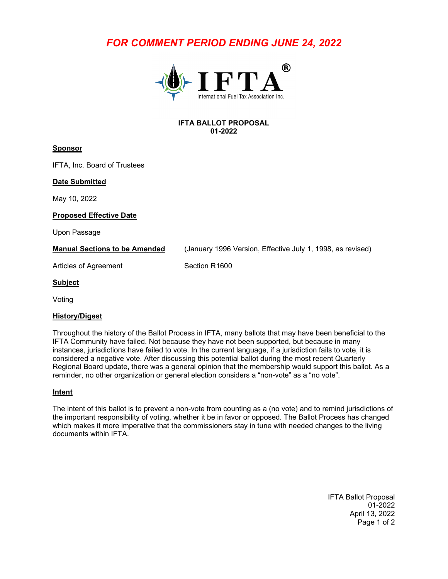# *FOR COMMENT PERIOD ENDING JUNE 24, 2022*



### **IFTA BALLOT PROPOSAL 01-2022**

# **Sponsor**

IFTA, Inc. Board of Trustees

# **Date Submitted**

May 10, 2022

### **Proposed Effective Date**

Upon Passage

**Manual Sections to be Amended** (January 1996 Version, Effective July 1, 1998, as revised)

Articles of Agreement Section R1600

### **Subject**

Voting

# **History/Digest**

Throughout the history of the Ballot Process in IFTA, many ballots that may have been beneficial to the IFTA Community have failed. Not because they have not been supported, but because in many instances, jurisdictions have failed to vote. In the current language, if a jurisdiction fails to vote, it is considered a negative vote. After discussing this potential ballot during the most recent Quarterly Regional Board update, there was a general opinion that the membership would support this ballot. As a reminder, no other organization or general election considers a "non-vote" as a "no vote".

### **Intent**

The intent of this ballot is to prevent a non-vote from counting as a (no vote) and to remind jurisdictions of the important responsibility of voting, whether it be in favor or opposed. The Ballot Process has changed which makes it more imperative that the commissioners stay in tune with needed changes to the living documents within IFTA.

> IFTA Ballot Proposal 01-2022 April 13, 2022 Page 1 of 2